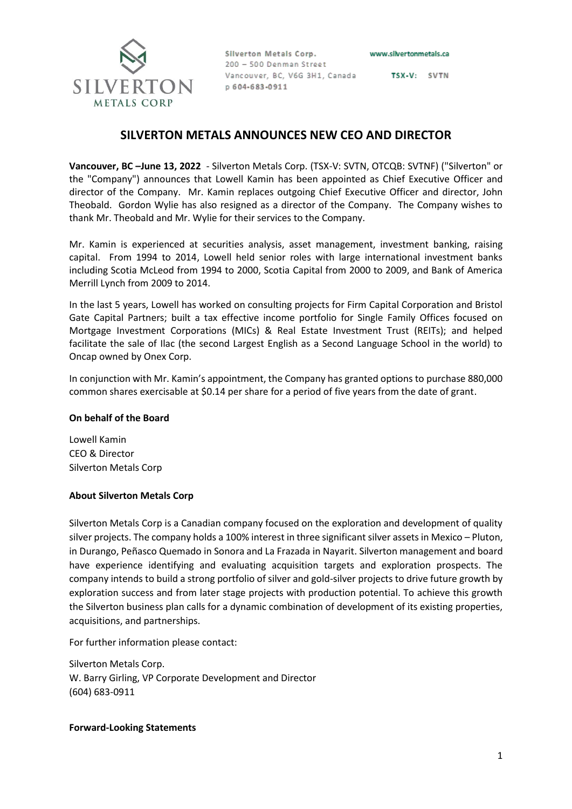

Silverton Metals Corp. 200 - 500 Denman Street Vancouver, BC, V6G 3H1, Canada p 604-683-0911

www.silvertonmetals.ca

TSX-V: SVTN

## **SILVERTON METALS ANNOUNCES NEW CEO AND DIRECTOR**

**Vancouver, BC –June 13, 2022** - Silverton Metals Corp. (TSX-V: SVTN, OTCQB: SVTNF) ("Silverton" or the "Company") announces that Lowell Kamin has been appointed as Chief Executive Officer and director of the Company. Mr. Kamin replaces outgoing Chief Executive Officer and director, John Theobald. Gordon Wylie has also resigned as a director of the Company. The Company wishes to thank Mr. Theobald and Mr. Wylie for their services to the Company.

Mr. Kamin is experienced at securities analysis, asset management, investment banking, raising capital. From 1994 to 2014, Lowell held senior roles with large international investment banks including Scotia McLeod from 1994 to 2000, Scotia Capital from 2000 to 2009, and Bank of America Merrill Lynch from 2009 to 2014.

In the last 5 years, Lowell has worked on consulting projects for Firm Capital Corporation and Bristol Gate Capital Partners; built a tax effective income portfolio for Single Family Offices focused on Mortgage Investment Corporations (MICs) & Real Estate Investment Trust (REITs); and helped facilitate the sale of Ilac (the second Largest English as a Second Language School in the world) to Oncap owned by Onex Corp.

In conjunction with Mr. Kamin's appointment, the Company has granted options to purchase 880,000 common shares exercisable at \$0.14 per share for a period of five years from the date of grant.

## **On behalf of the Board**

Lowell Kamin CEO & Director Silverton Metals Corp

## **About Silverton Metals Corp**

Silverton Metals Corp is a Canadian company focused on the exploration and development of quality silver projects. The company holds a 100% interest in three significant silver assets in Mexico – Pluton, in Durango, Peñasco Quemado in Sonora and La Frazada in Nayarit. Silverton management and board have experience identifying and evaluating acquisition targets and exploration prospects. The company intends to build a strong portfolio of silver and gold-silver projects to drive future growth by exploration success and from later stage projects with production potential. To achieve this growth the Silverton business plan calls for a dynamic combination of development of its existing properties, acquisitions, and partnerships.

For further information please contact:

Silverton Metals Corp. W. Barry Girling, VP Corporate Development and Director (604) 683-0911

**Forward-Looking Statements**